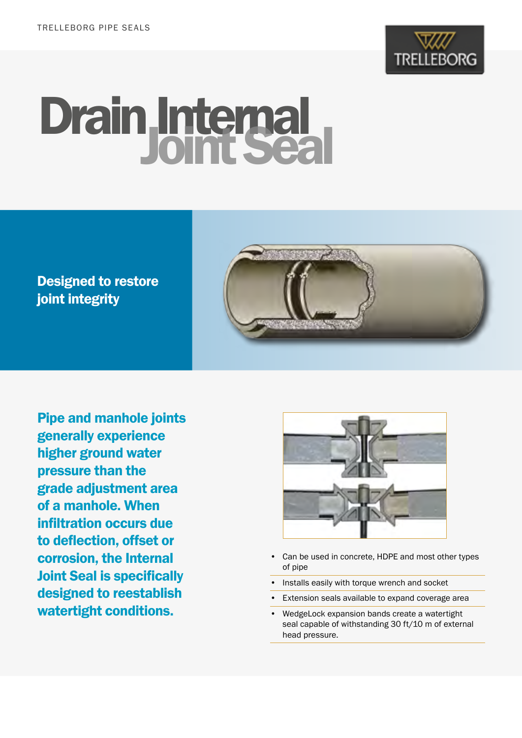

# Drain Internal

Designed to restore joint integrity



Pipe and manhole joints generally experience higher ground water pressure than the grade adjustment area of a manhole. When infiltration occurs due to deflection, offset or corrosion, the Internal Joint Seal is specifically designed to reestablish watertight conditions.



- Can be used in concrete, HDPE and most other types of pipe
- Installs easily with torque wrench and socket
- Extension seals available to expand coverage area
- WedgeLock expansion bands create a watertight seal capable of withstanding 30 ft/10 m of external head pressure.